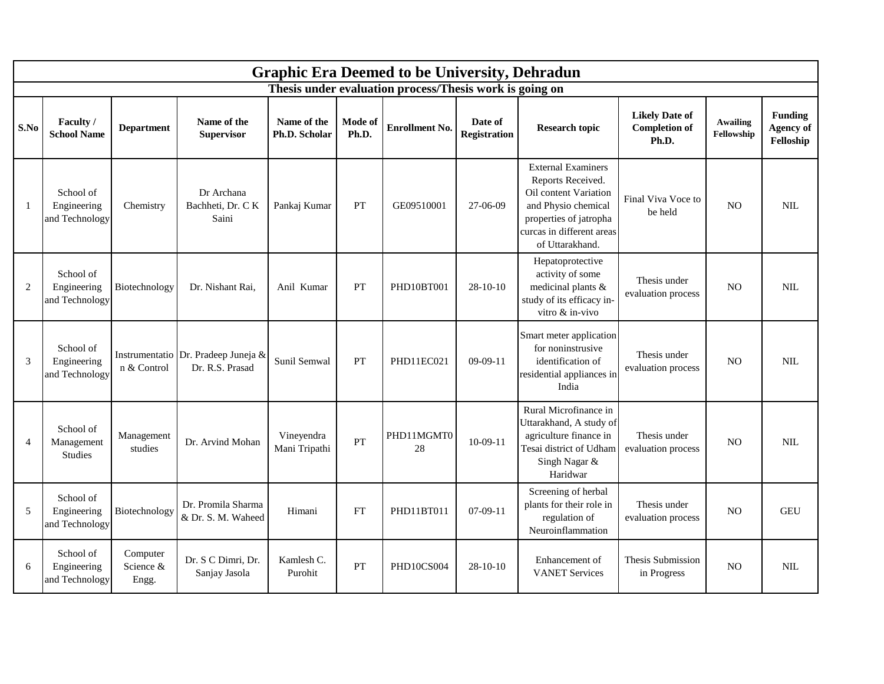|                |                                            |                                |                                          |                              |                  | <b>Graphic Era Deemed to be University, Dehradun</b>    |                                |                                                                                                                                                                          |                                                        |                        |                                                 |
|----------------|--------------------------------------------|--------------------------------|------------------------------------------|------------------------------|------------------|---------------------------------------------------------|--------------------------------|--------------------------------------------------------------------------------------------------------------------------------------------------------------------------|--------------------------------------------------------|------------------------|-------------------------------------------------|
|                |                                            |                                |                                          |                              |                  | Thesis under evaluation process/Thesis work is going on |                                |                                                                                                                                                                          |                                                        |                        |                                                 |
| S.No           | Faculty /<br><b>School Name</b>            | <b>Department</b>              | Name of the<br><b>Supervisor</b>         | Name of the<br>Ph.D. Scholar | Mode of<br>Ph.D. | <b>Enrollment No.</b>                                   | Date of<br><b>Registration</b> | <b>Research topic</b>                                                                                                                                                    | <b>Likely Date of</b><br><b>Completion of</b><br>Ph.D. | Awailing<br>Fellowship | <b>Funding</b><br><b>Agency of</b><br>Felloship |
| $\mathbf{1}$   | School of<br>Engineering<br>and Technology | Chemistry                      | Dr Archana<br>Bachheti, Dr. CK<br>Saini  | Pankaj Kumar                 | PT               | GE09510001                                              | 27-06-09                       | <b>External Examiners</b><br>Reports Received.<br>Oil content Variation<br>and Physio chemical<br>properties of jatropha<br>curcas in different areas<br>of Uttarakhand. | Final Viva Voce to<br>be held                          | N <sub>O</sub>         | <b>NIL</b>                                      |
| $\overline{2}$ | School of<br>Engineering<br>and Technology | Biotechnology                  | Dr. Nishant Rai,                         | Anil Kumar                   | PT               | PHD10BT001                                              | $28 - 10 - 10$                 | Hepatoprotective<br>activity of some<br>medicinal plants &<br>study of its efficacy in-<br>vitro & in-vivo                                                               | Thesis under<br>evaluation process                     | N <sub>O</sub>         | <b>NIL</b>                                      |
| 3              | School of<br>Engineering<br>and Technology | Instrumentatio<br>n & Control  | Dr. Pradeep Juneja &<br>Dr. R.S. Prasad  | Sunil Semwal                 | PT               | PHD11EC021                                              | $09-09-11$                     | Smart meter application<br>for noninstrusive<br>identification of<br>residential appliances in<br>India                                                                  | Thesis under<br>evaluation process                     | N <sub>O</sub>         | <b>NIL</b>                                      |
| $\overline{4}$ | School of<br>Management<br><b>Studies</b>  | Management<br>studies          | Dr. Arvind Mohan                         | Vineyendra<br>Mani Tripathi  | PT               | PHD11MGMT0<br>28                                        | $10-09-11$                     | Rural Microfinance in<br>Uttarakhand, A study of<br>agriculture finance in<br>Tesai district of Udham<br>Singh Nagar &<br>Haridwar                                       | Thesis under<br>evaluation process                     | N <sub>O</sub>         | <b>NIL</b>                                      |
| 5              | School of<br>Engineering<br>and Technology | Biotechnology                  | Dr. Promila Sharma<br>& Dr. S. M. Waheed | Himani                       | FT               | PHD11BT011                                              | $07-09-11$                     | Screening of herbal<br>plants for their role in<br>regulation of<br>Neuroinflammation                                                                                    | Thesis under<br>evaluation process                     | N <sub>O</sub>         | GEU                                             |
| 6              | School of<br>Engineering<br>and Technology | Computer<br>Science &<br>Engg. | Dr. S C Dimri, Dr.<br>Sanjay Jasola      | Kamlesh C.<br>Purohit        | PT               | PHD10CS004                                              | $28-10-10$                     | Enhancement of<br><b>VANET Services</b>                                                                                                                                  | Thesis Submission<br>in Progress                       | N <sub>O</sub>         | <b>NIL</b>                                      |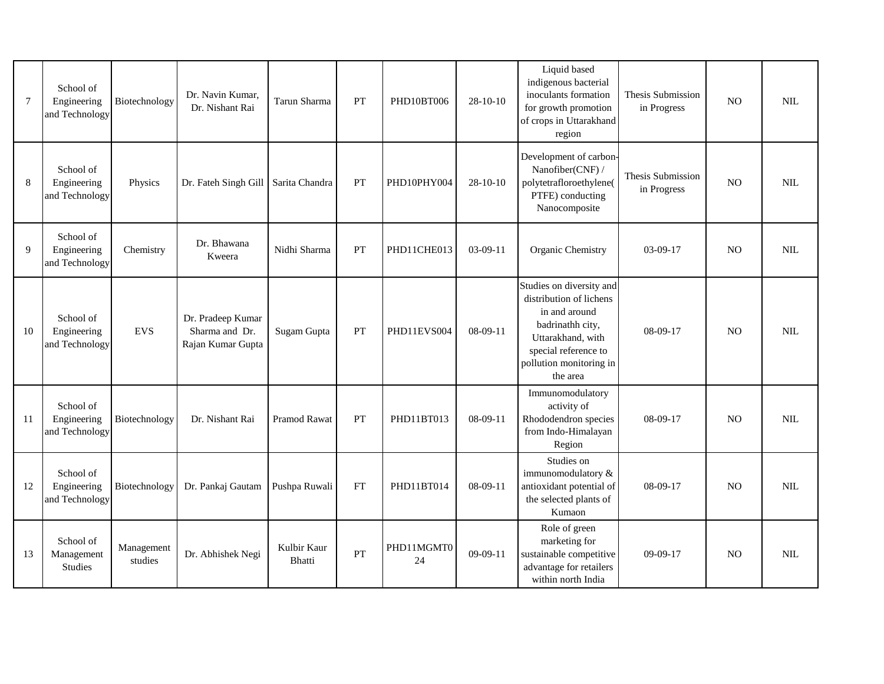| $\tau$ | School of<br>Engineering<br>and Technology | Biotechnology         | Dr. Navin Kumar,<br>Dr. Nishant Rai                      | Tarun Sharma          | <b>PT</b>   | PHD10BT006       | $28-10-10$ | Liquid based<br>indigenous bacterial<br>inoculants formation<br>for growth promotion<br>of crops in Uttarakhand<br>region                                                    | Thesis Submission<br>in Progress | N <sub>O</sub> | <b>NIL</b> |
|--------|--------------------------------------------|-----------------------|----------------------------------------------------------|-----------------------|-------------|------------------|------------|------------------------------------------------------------------------------------------------------------------------------------------------------------------------------|----------------------------------|----------------|------------|
| 8      | School of<br>Engineering<br>and Technology | Physics               | Dr. Fateh Singh Gill   Sarita Chandra                    |                       | PT          | PHD10PHY004      | $28-10-10$ | Development of carbon-<br>Nanofiber(CNF) /<br>polytetrafloroethylene(<br>PTFE) conducting<br>Nanocomposite                                                                   | Thesis Submission<br>in Progress | N <sub>O</sub> | <b>NIL</b> |
| 9      | School of<br>Engineering<br>and Technology | Chemistry             | Dr. Bhawana<br>Kweera                                    | Nidhi Sharma          | PT          | PHD11CHE013      | $03-09-11$ | Organic Chemistry                                                                                                                                                            | 03-09-17                         | N <sub>O</sub> | <b>NIL</b> |
| 10     | School of<br>Engineering<br>and Technology | <b>EVS</b>            | Dr. Pradeep Kumar<br>Sharma and Dr.<br>Rajan Kumar Gupta | Sugam Gupta           | PT          | PHD11EVS004      | $08-09-11$ | Studies on diversity and<br>distribution of lichens<br>in and around<br>badrinathh city,<br>Uttarakhand, with<br>special reference to<br>pollution monitoring in<br>the area | 08-09-17                         | N <sub>O</sub> | <b>NIL</b> |
| 11     | School of<br>Engineering<br>and Technology | Biotechnology         | Dr. Nishant Rai                                          | Pramod Rawat          | ${\cal PT}$ | PHD11BT013       | $08-09-11$ | Immunomodulatory<br>activity of<br>Rhododendron species<br>from Indo-Himalayan<br>Region                                                                                     | 08-09-17                         | N <sub>O</sub> | <b>NIL</b> |
| 12     | School of<br>Engineering<br>and Technology | Biotechnology         | Dr. Pankaj Gautam                                        | Pushpa Ruwali         | FT          | PHD11BT014       | $08-09-11$ | Studies on<br>immunomodulatory &<br>antioxidant potential of<br>the selected plants of<br>Kumaon                                                                             | 08-09-17                         | N <sub>O</sub> | <b>NIL</b> |
| 13     | School of<br>Management<br><b>Studies</b>  | Management<br>studies | Dr. Abhishek Negi                                        | Kulbir Kaur<br>Bhatti | PT          | PHD11MGMT0<br>24 | $09-09-11$ | Role of green<br>marketing for<br>sustainable competitive<br>advantage for retailers<br>within north India                                                                   | $09-09-17$                       | <b>NO</b>      | <b>NIL</b> |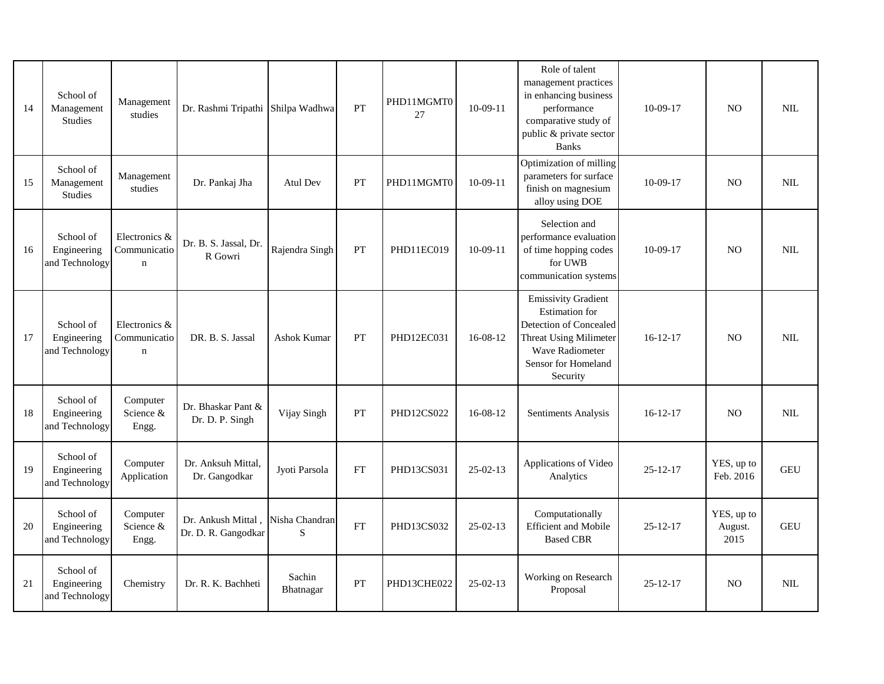| 14 | School of<br>Management<br><b>Studies</b>  | Management<br>studies                        | Dr. Rashmi Tripathi Shilpa Wadhwa         |                     | PT                         | PHD11MGMT0<br>27 | $10-09-11$     | Role of talent<br>management practices<br>in enhancing business<br>performance<br>comparative study of<br>public & private sector<br><b>Banks</b>                           | $10-09-17$     | N <sub>O</sub>                | <b>NIL</b> |
|----|--------------------------------------------|----------------------------------------------|-------------------------------------------|---------------------|----------------------------|------------------|----------------|-----------------------------------------------------------------------------------------------------------------------------------------------------------------------------|----------------|-------------------------------|------------|
| 15 | School of<br>Management<br><b>Studies</b>  | Management<br>studies                        | Dr. Pankaj Jha                            | <b>Atul Dev</b>     | PT                         | PHD11MGMT0       | $10-09-11$     | Optimization of milling<br>parameters for surface<br>finish on magnesium<br>alloy using DOE                                                                                 | $10-09-17$     | N <sub>O</sub>                | <b>NIL</b> |
| 16 | School of<br>Engineering<br>and Technology | Electronics &<br>Communicatio<br>$\mathbf n$ | Dr. B. S. Jassal, Dr.<br>R Gowri          | Rajendra Singh      | PT                         | PHD11EC019       | $10-09-11$     | Selection and<br>performance evaluation<br>of time hopping codes<br>for UWB<br>communication systems                                                                        | $10-09-17$     | N <sub>O</sub>                | <b>NIL</b> |
| 17 | School of<br>Engineering<br>and Technology | Electronics &<br>Communicatio<br>$\mathbf n$ | DR. B. S. Jassal                          | <b>Ashok Kumar</b>  | PT                         | PHD12EC031       | $16-08-12$     | <b>Emissivity Gradient</b><br><b>Estimation</b> for<br>Detection of Concealed<br><b>Threat Using Milimeter</b><br><b>Wave Radiometer</b><br>Sensor for Homeland<br>Security | $16 - 12 - 17$ | N <sub>O</sub>                | <b>NIL</b> |
| 18 | School of<br>Engineering<br>and Technology | Computer<br>Science &<br>Engg.               | Dr. Bhaskar Pant &<br>Dr. D. P. Singh     | Vijay Singh         | <b>PT</b>                  | PHD12CS022       | 16-08-12       | Sentiments Analysis                                                                                                                                                         | $16 - 12 - 17$ | N <sub>O</sub>                | NII.       |
| 19 | School of<br>Engineering<br>and Technology | Computer<br>Application                      | Dr. Anksuh Mittal,<br>Dr. Gangodkar       | Jyoti Parsola       | ${\rm FT}$                 | PHD13CS031       | $25 - 02 - 13$ | Applications of Video<br>Analytics                                                                                                                                          | $25 - 12 - 17$ | YES, up to<br>Feb. 2016       | <b>GEU</b> |
| 20 | School of<br>Engineering<br>and Technology | Computer<br>Science &<br>Engg.               | Dr. Ankush Mittal,<br>Dr. D. R. Gangodkar | Nisha Chandran<br>S | $\mathop{\rm FT}\nolimits$ | PHD13CS032       | $25 - 02 - 13$ | Computationally<br>Efficient and Mobile<br><b>Based CBR</b>                                                                                                                 | $25 - 12 - 17$ | YES, up to<br>August.<br>2015 | <b>GEU</b> |
| 21 | School of<br>Engineering<br>and Technology | Chemistry                                    | Dr. R. K. Bachheti                        | Sachin<br>Bhatnagar | <b>PT</b>                  | PHD13CHE022      | $25-02-13$     | Working on Research<br>Proposal                                                                                                                                             | $25 - 12 - 17$ | N <sub>O</sub>                | NIL.       |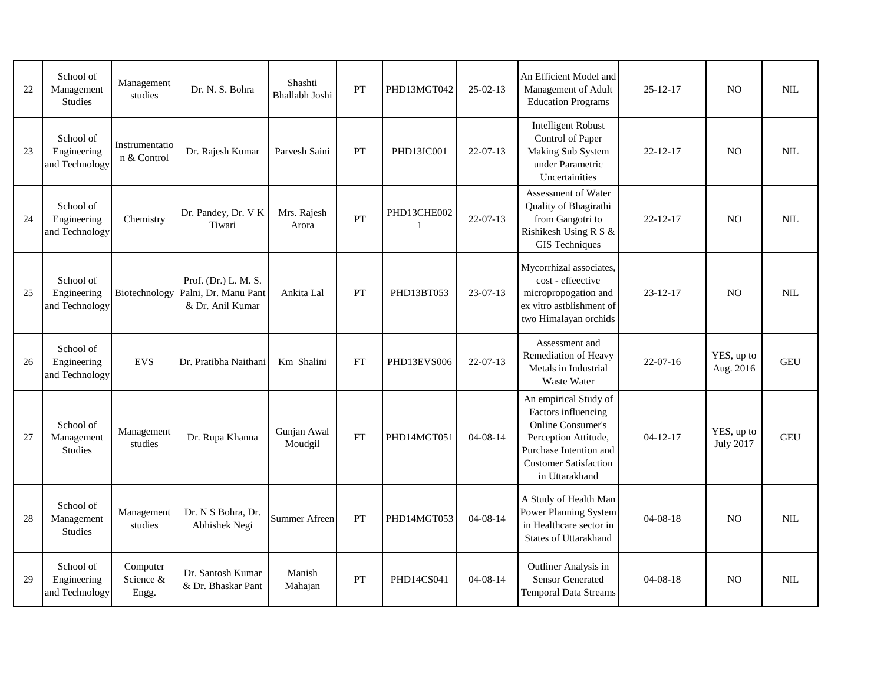| 22 | School of<br>Management<br><b>Studies</b>  | Management<br>studies          | Dr. N. S. Bohra                                                                | Shashti<br>Bhallabh Joshi | PT         | PHD13MGT042 | $25-02-13$     | An Efficient Model and<br>Management of Adult<br><b>Education Programs</b>                                                                                                   | $25 - 12 - 17$ | <b>NO</b>                      | <b>NIL</b>   |
|----|--------------------------------------------|--------------------------------|--------------------------------------------------------------------------------|---------------------------|------------|-------------|----------------|------------------------------------------------------------------------------------------------------------------------------------------------------------------------------|----------------|--------------------------------|--------------|
| 23 | School of<br>Engineering<br>and Technology | Instrumentatio<br>n & Control  | Dr. Rajesh Kumar                                                               | Parvesh Saini             | <b>PT</b>  | PHD13IC001  | $22-07-13$     | <b>Intelligent Robust</b><br>Control of Paper<br>Making Sub System<br>under Parametric<br>Uncertainities                                                                     | $22 - 12 - 17$ | N <sub>O</sub>                 | NII.         |
| 24 | School of<br>Engineering<br>and Technology | Chemistry                      | Dr. Pandey, Dr. V K<br>Tiwari                                                  | Mrs. Rajesh<br>Arora      | PT         | PHD13CHE002 | $22-07-13$     | Assessment of Water<br>Quality of Bhagirathi<br>from Gangotri to<br>Rishikesh Using R S &<br><b>GIS</b> Techniques                                                           | $22 - 12 - 17$ | N <sub>O</sub>                 | <b>NIL</b>   |
| 25 | School of<br>Engineering<br>and Technology |                                | Prof. (Dr.) L. M. S.<br>Biotechnology Palni, Dr. Manu Pant<br>& Dr. Anil Kumar | Ankita Lal                | PT         | PHD13BT053  | $23-07-13$     | Mycorrhizal associates,<br>cost - effeective<br>micropropogation and<br>ex vitro astblishment of<br>two Himalayan orchids                                                    | $23 - 12 - 17$ | N <sub>O</sub>                 | <b>NIL</b>   |
| 26 | School of<br>Engineering<br>and Technology | <b>EVS</b>                     | Dr. Pratibha Naithani                                                          | Km Shalini                | ${\rm FT}$ | PHD13EVS006 | $22 - 07 - 13$ | Assessment and<br>Remediation of Heavy<br>Metals in Industrial<br><b>Waste Water</b>                                                                                         | $22-07-16$     | YES, up to<br>Aug. 2016        | <b>GEU</b>   |
| 27 | School of<br>Management<br><b>Studies</b>  | Management<br>studies          | Dr. Rupa Khanna                                                                | Gunjan Awal<br>Moudgil    | FT         | PHD14MGT051 | $04 - 08 - 14$ | An empirical Study of<br>Factors influencing<br><b>Online Consumer's</b><br>Perception Attitude,<br>Purchase Intention and<br><b>Customer Satisfaction</b><br>in Uttarakhand | $04 - 12 - 17$ | YES, up to<br><b>July 2017</b> | <b>GEU</b>   |
| 28 | School of<br>Management<br><b>Studies</b>  | Management<br>studies          | Dr. N S Bohra, Dr.<br>Abhishek Negi                                            | Summer Afreen             | PT         | PHD14MGT053 | $04 - 08 - 14$ | A Study of Health Man<br>Power Planning System<br>in Healthcare sector in<br>States of Uttarakhand                                                                           | $04 - 08 - 18$ | N <sub>O</sub>                 | <b>NIL</b>   |
| 29 | School of<br>Engineering<br>and Technology | Computer<br>Science &<br>Engg. | Dr. Santosh Kumar<br>& Dr. Bhaskar Pant                                        | Manish<br>Mahajan         | PT         | PHD14CS041  | $04 - 08 - 14$ | Outliner Analysis in<br><b>Sensor Generated</b><br><b>Temporal Data Streams</b>                                                                                              | $04 - 08 - 18$ | N <sub>O</sub>                 | $\mbox{NIL}$ |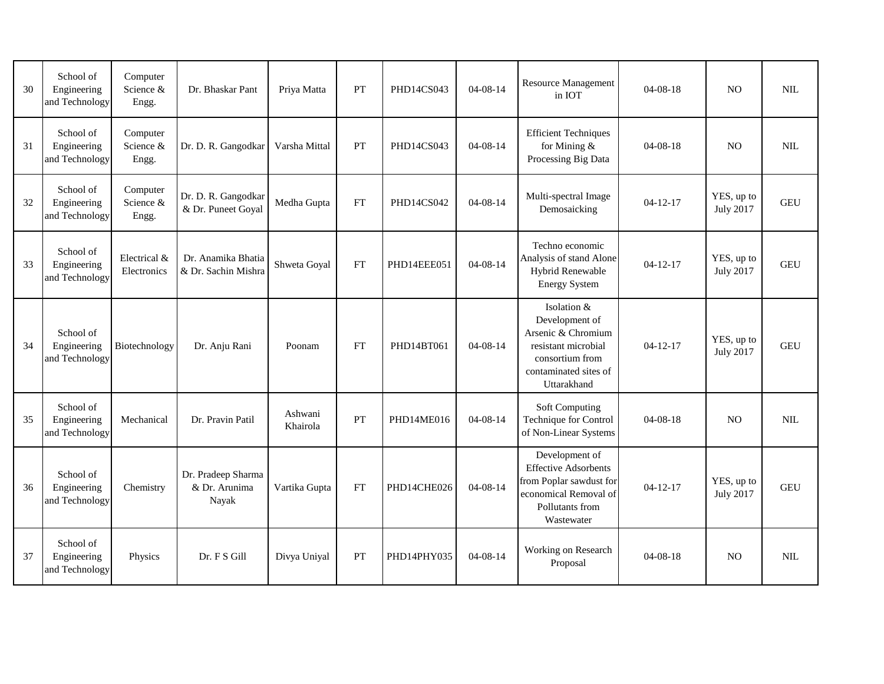| 30 | School of<br>Engineering<br>and Technology | Computer<br>Science &<br>Engg. | Dr. Bhaskar Pant                             | Priya Matta         | PT        | PHD14CS043  | $04 - 08 - 14$ | <b>Resource Management</b><br>in IOT                                                                                                  | $04 - 08 - 18$ | N <sub>O</sub>                 | $\text{NIL}$ |
|----|--------------------------------------------|--------------------------------|----------------------------------------------|---------------------|-----------|-------------|----------------|---------------------------------------------------------------------------------------------------------------------------------------|----------------|--------------------------------|--------------|
| 31 | School of<br>Engineering<br>and Technology | Computer<br>Science &<br>Engg. | Dr. D. R. Gangodkar                          | Varsha Mittal       | PT        | PHD14CS043  | $04 - 08 - 14$ | <b>Efficient Techniques</b><br>for Mining &<br>Processing Big Data                                                                    | $04 - 08 - 18$ | N <sub>O</sub>                 | <b>NIL</b>   |
| 32 | School of<br>Engineering<br>and Technology | Computer<br>Science &<br>Engg. | Dr. D. R. Gangodkar<br>& Dr. Puneet Goyal    | Medha Gupta         | FT        | PHD14CS042  | $04 - 08 - 14$ | Multi-spectral Image<br>Demosaicking                                                                                                  | $04 - 12 - 17$ | YES, up to<br><b>July 2017</b> | <b>GEU</b>   |
| 33 | School of<br>Engineering<br>and Technology | Electrical &<br>Electronics    | Dr. Anamika Bhatia<br>& Dr. Sachin Mishra    | Shweta Goyal        | <b>FT</b> | PHD14EEE051 | $04 - 08 - 14$ | Techno economic<br>Analysis of stand Alone<br>Hybrid Renewable<br><b>Energy System</b>                                                | $04 - 12 - 17$ | YES, up to<br><b>July 2017</b> | <b>GEU</b>   |
| 34 | School of<br>Engineering<br>and Technology | Biotechnology                  | Dr. Anju Rani                                | Poonam              | FT        | PHD14BT061  | $04 - 08 - 14$ | Isolation &<br>Development of<br>Arsenic & Chromium<br>resistant microbial<br>consortium from<br>contaminated sites of<br>Uttarakhand | $04 - 12 - 17$ | YES, up to<br><b>July 2017</b> | <b>GEU</b>   |
| 35 | School of<br>Engineering<br>and Technology | Mechanical                     | Dr. Pravin Patil                             | Ashwani<br>Khairola | PT        | PHD14ME016  | $04 - 08 - 14$ | <b>Soft Computing</b><br>Technique for Control<br>of Non-Linear Systems                                                               | $04 - 08 - 18$ | N <sub>O</sub>                 | $\text{NIL}$ |
| 36 | School of<br>Engineering<br>and Technology | Chemistry                      | Dr. Pradeep Sharma<br>& Dr. Arunima<br>Nayak | Vartika Gupta       | FT        | PHD14CHE026 | $04 - 08 - 14$ | Development of<br><b>Effective Adsorbents</b><br>from Poplar sawdust for<br>economical Removal of<br>Pollutants from<br>Wastewater    | $04 - 12 - 17$ | YES, up to<br><b>July 2017</b> | <b>GEU</b>   |
| 37 | School of<br>Engineering<br>and Technology | Physics                        | Dr. F S Gill                                 | Divya Uniyal        | PT        | PHD14PHY035 | $04 - 08 - 14$ | Working on Research<br>Proposal                                                                                                       | $04 - 08 - 18$ | N <sub>O</sub>                 | $\text{NIL}$ |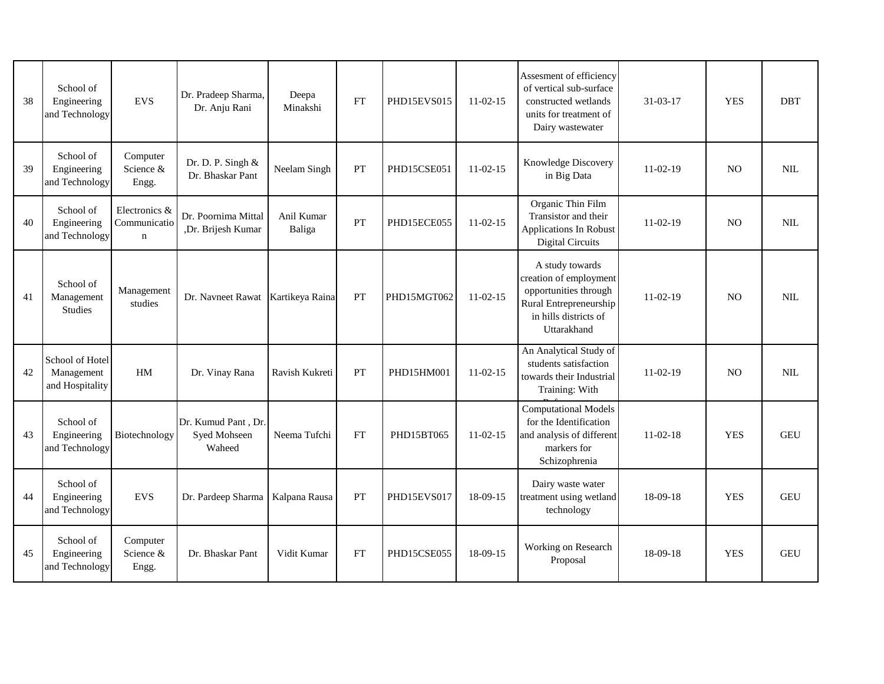| 38 | School of<br>Engineering<br>and Technology       | <b>EVS</b>                                   | Dr. Pradeep Sharma,<br>Dr. Anju Rani          | Deepa<br>Minakshi    | FT        | PHD15EVS015 | $11-02-15$ | Assesment of efficiency<br>of vertical sub-surface<br>constructed wetlands<br>units for treatment of<br>Dairy wastewater             | 31-03-17   | <b>YES</b>     | <b>DBT</b>   |
|----|--------------------------------------------------|----------------------------------------------|-----------------------------------------------|----------------------|-----------|-------------|------------|--------------------------------------------------------------------------------------------------------------------------------------|------------|----------------|--------------|
| 39 | School of<br>Engineering<br>and Technology       | Computer<br>Science &<br>Engg.               | Dr. D. P. Singh &<br>Dr. Bhaskar Pant         | Neelam Singh         | PT        | PHD15CSE051 | $11-02-15$ | Knowledge Discovery<br>in Big Data                                                                                                   | 11-02-19   | N <sub>O</sub> | $\mbox{NIL}$ |
| 40 | School of<br>Engineering<br>and Technology       | Electronics &<br>Communicatio<br>$\mathbf n$ | Dr. Poornima Mittal<br>,Dr. Brijesh Kumar     | Anil Kumar<br>Baliga | PT        | PHD15ECE055 | $11-02-15$ | Organic Thin Film<br>Transistor and their<br>Applications In Robust<br><b>Digital Circuits</b>                                       | $11-02-19$ | N <sub>O</sub> | <b>NIL</b>   |
| 41 | School of<br>Management<br><b>Studies</b>        | Management<br>studies                        | Dr. Navneet Rawat                             | Kartikeya Raina      | PT        | PHD15MGT062 | $11-02-15$ | A study towards<br>creation of employment<br>opportunities through<br>Rural Entrepreneurship<br>in hills districts of<br>Uttarakhand | $11-02-19$ | N <sub>O</sub> | $\mbox{NIL}$ |
| 42 | School of Hotel<br>Management<br>and Hospitality | HM                                           | Dr. Vinay Rana                                | Ravish Kukreti       | PT        | PHD15HM001  | $11-02-15$ | An Analytical Study of<br>students satisfaction<br>towards their Industrial<br>Training: With                                        | $11-02-19$ | <b>NO</b>      | $\text{NIL}$ |
| 43 | School of<br>Engineering<br>and Technology       | Biotechnology                                | Dr. Kumud Pant, Dr.<br>Syed Mohseen<br>Waheed | Neema Tufchi         | FT        | PHD15BT065  | $11-02-15$ | <b>Computational Models</b><br>for the Identification<br>and analysis of different<br>markers for<br>Schizophrenia                   | $11-02-18$ | <b>YES</b>     | <b>GEU</b>   |
| 44 | School of<br>Engineering<br>and Technology       | <b>EVS</b>                                   | Dr. Pardeep Sharma                            | Kalpana Rausa        | <b>PT</b> | PHD15EVS017 | 18-09-15   | Dairy waste water<br>treatment using wetland<br>technology                                                                           | 18-09-18   | <b>YES</b>     | <b>GEU</b>   |
| 45 | School of<br>Engineering<br>and Technology       | Computer<br>Science &<br>Engg.               | Dr. Bhaskar Pant                              | Vidit Kumar          | FT        | PHD15CSE055 | 18-09-15   | Working on Research<br>Proposal                                                                                                      | 18-09-18   | <b>YES</b>     | <b>GEU</b>   |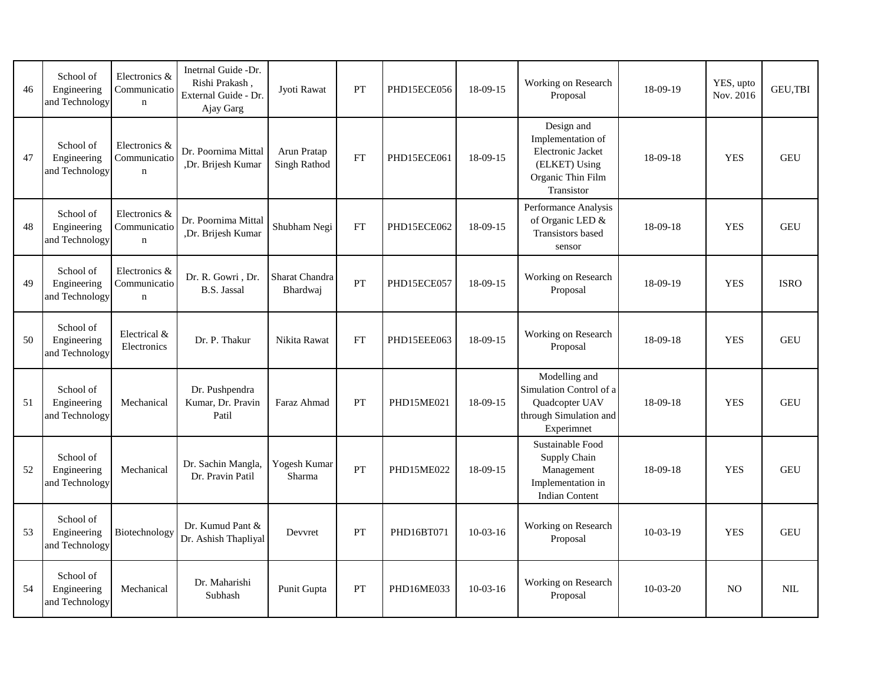| 46 | School of<br>Engineering<br>and Technology | Electronics &<br>Communicatio<br>$\mathbf n$ | Inetrnal Guide -Dr.<br>Rishi Prakash,<br>External Guide - Dr.<br>Ajay Garg | Jyoti Rawat                        | PT        | PHD15ECE056 | 18-09-15   | Working on Research<br>Proposal                                                                          | 18-09-19   | YES, upto<br>Nov. 2016 | <b>GEU.TBI</b> |
|----|--------------------------------------------|----------------------------------------------|----------------------------------------------------------------------------|------------------------------------|-----------|-------------|------------|----------------------------------------------------------------------------------------------------------|------------|------------------------|----------------|
| 47 | School of<br>Engineering<br>and Technology | Electronics &<br>Communicatio<br>$\mathbf n$ | Dr. Poornima Mittal<br>,Dr. Brijesh Kumar                                  | Arun Pratap<br><b>Singh Rathod</b> | FT        | PHD15ECE061 | 18-09-15   | Design and<br>Implementation of<br>Electronic Jacket<br>(ELKET) Using<br>Organic Thin Film<br>Transistor | 18-09-18   | <b>YES</b>             | <b>GEU</b>     |
| 48 | School of<br>Engineering<br>and Technology | Electronics &<br>Communicatio<br>$\mathbf n$ | Dr. Poornima Mittal<br>,Dr. Brijesh Kumar                                  | Shubham Negi                       | <b>FT</b> | PHD15ECE062 | 18-09-15   | Performance Analysis<br>of Organic LED &<br>Transistors based<br>sensor                                  | 18-09-18   | <b>YES</b>             | <b>GEU</b>     |
| 49 | School of<br>Engineering<br>and Technology | Electronics &<br>Communicatio<br>$\mathbf n$ | Dr. R. Gowri, Dr.<br><b>B.S.</b> Jassal                                    | Sharat Chandra<br>Bhardwaj         | PT        | PHD15ECE057 | 18-09-15   | Working on Research<br>Proposal                                                                          | 18-09-19   | <b>YES</b>             | <b>ISRO</b>    |
| 50 | School of<br>Engineering<br>and Technology | Electrical &<br>Electronics                  | Dr. P. Thakur                                                              | Nikita Rawat                       | FT        | PHD15EEE063 | 18-09-15   | Working on Research<br>Proposal                                                                          | 18-09-18   | <b>YES</b>             | <b>GEU</b>     |
| 51 | School of<br>Engineering<br>and Technology | Mechanical                                   | Dr. Pushpendra<br>Kumar, Dr. Pravin<br>Patil                               | Faraz Ahmad                        | PT        | PHD15ME021  | 18-09-15   | Modelling and<br>Simulation Control of a<br>Quadcopter UAV<br>through Simulation and<br>Experimnet       | 18-09-18   | <b>YES</b>             | <b>GEU</b>     |
| 52 | School of<br>Engineering<br>and Technology | Mechanical                                   | Dr. Sachin Mangla,<br>Dr. Pravin Patil                                     | Yogesh Kumar<br>Sharma             | PT        | PHD15ME022  | 18-09-15   | Sustainable Food<br>Supply Chain<br>Management<br>Implementation in<br><b>Indian Content</b>             | 18-09-18   | <b>YES</b>             | <b>GEU</b>     |
| 53 | School of<br>Engineering<br>and Technology | Biotechnology                                | Dr. Kumud Pant &<br>Dr. Ashish Thapliyal                                   | Devvret                            | PT        | PHD16BT071  | $10-03-16$ | Working on Research<br>Proposal                                                                          | $10-03-19$ | <b>YES</b>             | <b>GEU</b>     |
| 54 | School of<br>Engineering<br>and Technology | Mechanical                                   | Dr. Maharishi<br>Subhash                                                   | Punit Gupta                        | PT        | PHD16ME033  | $10-03-16$ | Working on Research<br>Proposal                                                                          | $10-03-20$ | N <sub>O</sub>         | <b>NIL</b>     |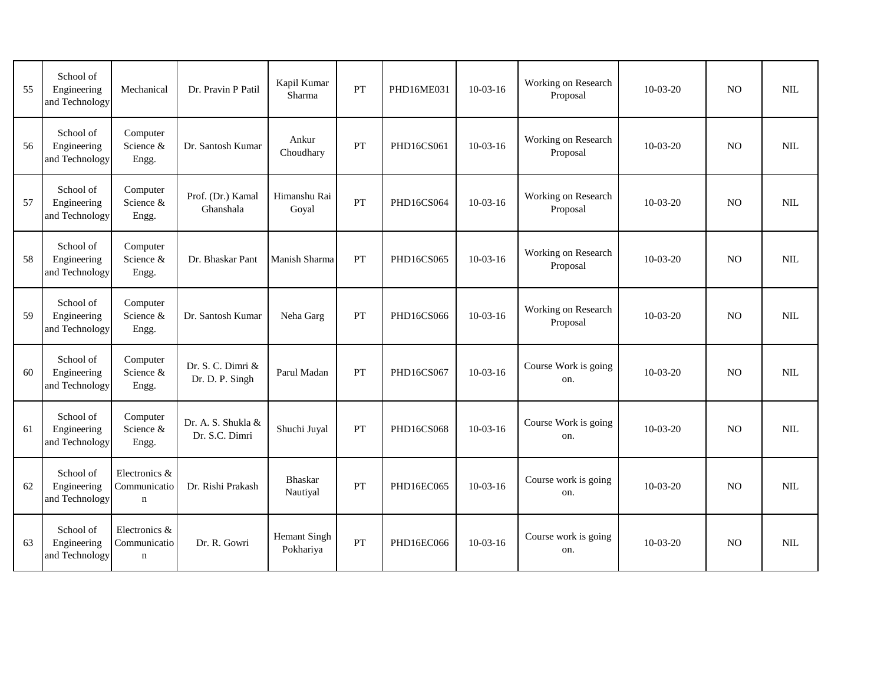| 55 | School of<br>Engineering<br>and Technology | Mechanical                                   | Dr. Pravin P Patil                   | Kapil Kumar<br>Sharma            | PT        | PHD16ME031 | $10-03-16$ | Working on Research<br>Proposal | $10-03-20$ | <b>NO</b>      | <b>NIL</b> |
|----|--------------------------------------------|----------------------------------------------|--------------------------------------|----------------------------------|-----------|------------|------------|---------------------------------|------------|----------------|------------|
| 56 | School of<br>Engineering<br>and Technology | Computer<br>Science &<br>Engg.               | Dr. Santosh Kumar                    | Ankur<br>Choudhary               | PT        | PHD16CS061 | $10-03-16$ | Working on Research<br>Proposal | $10-03-20$ | N <sub>O</sub> | <b>NIL</b> |
| 57 | School of<br>Engineering<br>and Technology | Computer<br>Science &<br>Engg.               | Prof. (Dr.) Kamal<br>Ghanshala       | Himanshu Rai<br>Goyal            | PT        | PHD16CS064 | $10-03-16$ | Working on Research<br>Proposal | $10-03-20$ | N <sub>O</sub> | <b>NIL</b> |
| 58 | School of<br>Engineering<br>and Technology | Computer<br>Science &<br>Engg.               | Dr. Bhaskar Pant                     | Manish Sharma                    | PT        | PHD16CS065 | $10-03-16$ | Working on Research<br>Proposal | $10-03-20$ | N <sub>O</sub> | <b>NIL</b> |
| 59 | School of<br>Engineering<br>and Technology | Computer<br>Science &<br>Engg.               | Dr. Santosh Kumar                    | Neha Garg                        | PT        | PHD16CS066 | $10-03-16$ | Working on Research<br>Proposal | $10-03-20$ | <b>NO</b>      | <b>NIL</b> |
| 60 | School of<br>Engineering<br>and Technology | Computer<br>Science &<br>Engg.               | Dr. S. C. Dimri &<br>Dr. D. P. Singh | Parul Madan                      | <b>PT</b> | PHD16CS067 | $10-03-16$ | Course Work is going<br>on.     | $10-03-20$ | N <sub>O</sub> | <b>NIL</b> |
| 61 | School of<br>Engineering<br>and Technology | Computer<br>Science &<br>Engg.               | Dr. A. S. Shukla &<br>Dr. S.C. Dimri | Shuchi Juyal                     | PT        | PHD16CS068 | $10-03-16$ | Course Work is going<br>on.     | $10-03-20$ | N <sub>O</sub> | <b>NIL</b> |
| 62 | School of<br>Engineering<br>and Technology | Electronics &<br>Communicatio<br>$\mathbf n$ | Dr. Rishi Prakash                    | <b>Bhaskar</b><br>Nautiyal       | PT        | PHD16EC065 | $10-03-16$ | Course work is going<br>on.     | $10-03-20$ | N <sub>O</sub> | <b>NIL</b> |
| 63 | School of<br>Engineering<br>and Technology | Electronics &<br>Communicatio<br>$\mathbf n$ | Dr. R. Gowri                         | <b>Hemant Singh</b><br>Pokhariya | PT        | PHD16EC066 | $10-03-16$ | Course work is going<br>on.     | $10-03-20$ | N <sub>O</sub> | NIL        |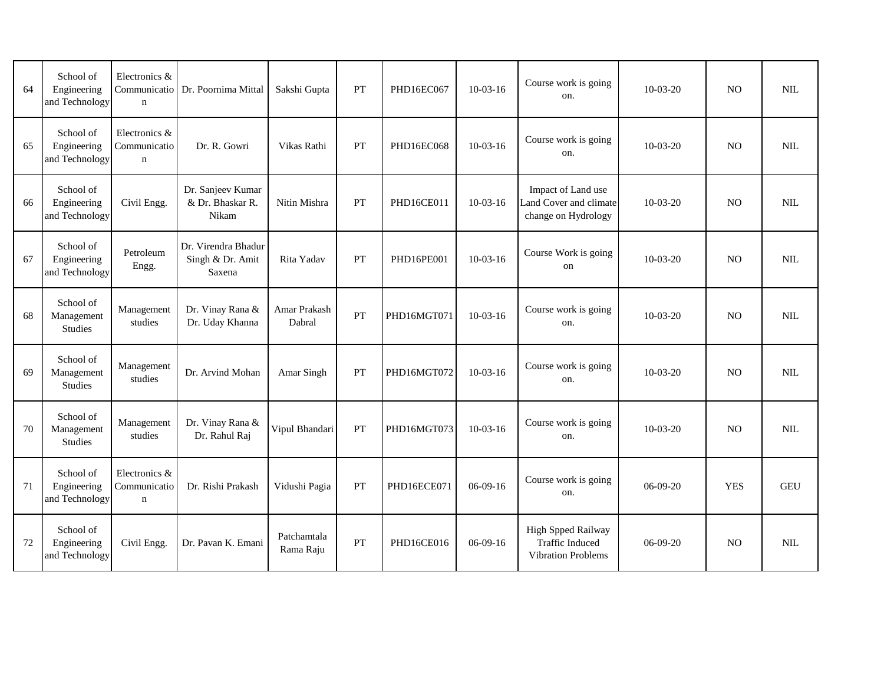| 64 | School of<br>Engineering<br>and Technology | Electronics &<br>Communicatio<br>$\mathbf n$ | Dr. Poornima Mittal                               | Sakshi Gupta                  | PT        | PHD16EC067  | $10-03-16$ | Course work is going<br>on.                                               | $10-03-20$ | N <sub>O</sub> | <b>NIL</b> |
|----|--------------------------------------------|----------------------------------------------|---------------------------------------------------|-------------------------------|-----------|-------------|------------|---------------------------------------------------------------------------|------------|----------------|------------|
| 65 | School of<br>Engineering<br>and Technology | Electronics &<br>Communicatio<br>$\mathbf n$ | Dr. R. Gowri                                      | Vikas Rathi                   | PT        | PHD16EC068  | $10-03-16$ | Course work is going<br>on.                                               | $10-03-20$ | N <sub>O</sub> | <b>NIL</b> |
| 66 | School of<br>Engineering<br>and Technology | Civil Engg.                                  | Dr. Sanjeev Kumar<br>& Dr. Bhaskar R.<br>Nikam    | Nitin Mishra                  | PT        | PHD16CE011  | $10-03-16$ | Impact of Land use<br>Land Cover and climate<br>change on Hydrology       | $10-03-20$ | NO             | <b>NIL</b> |
| 67 | School of<br>Engineering<br>and Technology | Petroleum<br>Engg.                           | Dr. Virendra Bhadur<br>Singh & Dr. Amit<br>Saxena | Rita Yadav                    | PT        | PHD16PE001  | $10-03-16$ | Course Work is going<br>on                                                | $10-03-20$ | N <sub>O</sub> | <b>NIL</b> |
| 68 | School of<br>Management<br><b>Studies</b>  | Management<br>studies                        | Dr. Vinay Rana &<br>Dr. Uday Khanna               | <b>Amar Prakash</b><br>Dabral | PT        | PHD16MGT071 | $10-03-16$ | Course work is going<br>on.                                               | $10-03-20$ | <b>NO</b>      | <b>NIL</b> |
| 69 | School of<br>Management<br>Studies         | Management<br>studies                        | Dr. Arvind Mohan                                  | Amar Singh                    | <b>PT</b> | PHD16MGT072 | $10-03-16$ | Course work is going<br>on.                                               | $10-03-20$ | N <sub>O</sub> | <b>NIL</b> |
| 70 | School of<br>Management<br>Studies         | Management<br>studies                        | Dr. Vinay Rana &<br>Dr. Rahul Raj                 | Vipul Bhandari                | PT        | PHD16MGT073 | $10-03-16$ | Course work is going<br>on.                                               | $10-03-20$ | N <sub>O</sub> | <b>NIL</b> |
| 71 | School of<br>Engineering<br>and Technology | Electronics &<br>Communicatio<br>$\mathbf n$ | Dr. Rishi Prakash                                 | Vidushi Pagia                 | PT        | PHD16ECE071 | $06-09-16$ | Course work is going<br>on.                                               | $06-09-20$ | <b>YES</b>     | <b>GEU</b> |
| 72 | School of<br>Engineering<br>and Technology | Civil Engg.                                  | Dr. Pavan K. Emani                                | Patchamtala<br>Rama Raju      | PT        | PHD16CE016  | $06-09-16$ | High Spped Railway<br><b>Traffic Induced</b><br><b>Vibration Problems</b> | $06-09-20$ | N <sub>O</sub> | <b>NIL</b> |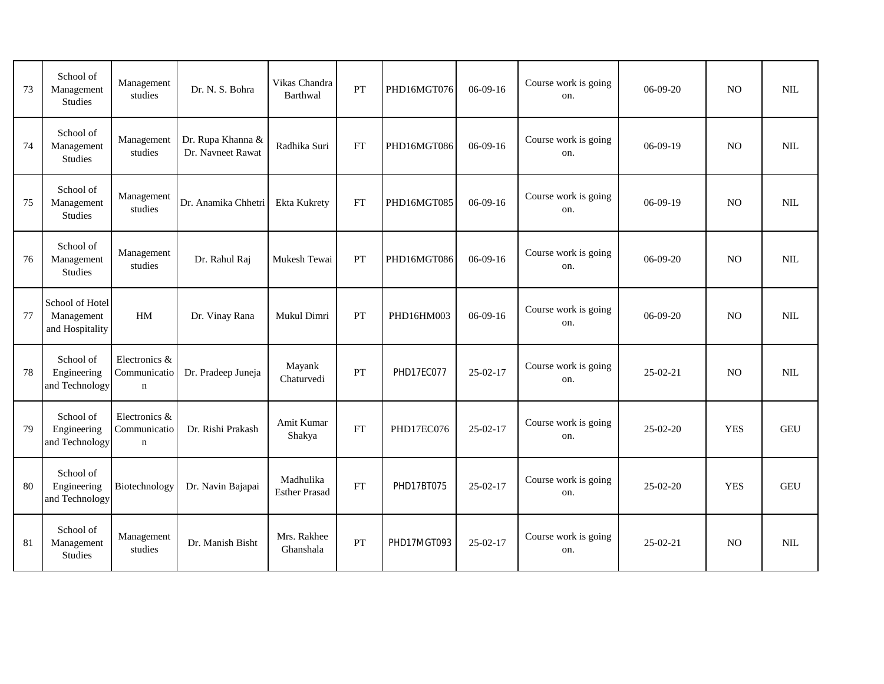| 73 | School of<br>Management<br><b>Studies</b>        | Management<br>studies                        | Dr. N. S. Bohra                        | Vikas Chandra<br>Barthwal         | PT        | PHD16MGT076 | $06-09-16$ | Course work is going<br>on. | $06-09-20$ | N <sub>O</sub> | <b>NIL</b> |
|----|--------------------------------------------------|----------------------------------------------|----------------------------------------|-----------------------------------|-----------|-------------|------------|-----------------------------|------------|----------------|------------|
| 74 | School of<br>Management<br><b>Studies</b>        | Management<br>studies                        | Dr. Rupa Khanna &<br>Dr. Navneet Rawat | Radhika Suri                      | <b>FT</b> | PHD16MGT086 | $06-09-16$ | Course work is going<br>on. | $06-09-19$ | N <sub>O</sub> | NIL        |
| 75 | School of<br>Management<br>Studies               | Management<br>studies                        | Dr. Anamika Chhetri                    | Ekta Kukrety                      | FT        | PHD16MGT085 | $06-09-16$ | Course work is going<br>on. | $06-09-19$ | N <sub>O</sub> | NIL        |
| 76 | School of<br>Management<br>Studies               | Management<br>studies                        | Dr. Rahul Raj                          | Mukesh Tewai                      | PT        | PHD16MGT086 | $06-09-16$ | Course work is going<br>on. | $06-09-20$ | N <sub>O</sub> | NIL        |
| 77 | School of Hotel<br>Management<br>and Hospitality | HM                                           | Dr. Vinay Rana                         | Mukul Dimri                       | PT        | PHD16HM003  | $06-09-16$ | Course work is going<br>on. | $06-09-20$ | N <sub>O</sub> | NIL        |
| 78 | School of<br>Engineering<br>and Technology       | Electronics &<br>Communicatio<br>$\mathbf n$ | Dr. Pradeep Juneja                     | Mayank<br>Chaturvedi              | PT        | PHD17EC077  | 25-02-17   | Course work is going<br>on. | $25-02-21$ | N <sub>O</sub> | <b>NIL</b> |
| 79 | School of<br>Engineering<br>and Technology       | Electronics &<br>Communicatio<br>$\mathbf n$ | Dr. Rishi Prakash                      | Amit Kumar<br>Shakya              | FT        | PHD17EC076  | 25-02-17   | Course work is going<br>on. | 25-02-20   | <b>YES</b>     | <b>GEU</b> |
| 80 | School of<br>Engineering<br>and Technology       | Biotechnology                                | Dr. Navin Bajapai                      | Madhulika<br><b>Esther Prasad</b> | <b>FT</b> | PHD17BT075  | $25-02-17$ | Course work is going<br>on. | $25-02-20$ | <b>YES</b>     | <b>GEU</b> |
| 81 | School of<br>Management<br><b>Studies</b>        | Management<br>studies                        | Dr. Manish Bisht                       | Mrs. Rakhee<br>Ghanshala          | PT        | PHD17MGT093 | $25-02-17$ | Course work is going<br>on. | $25-02-21$ | N <sub>O</sub> | NIL.       |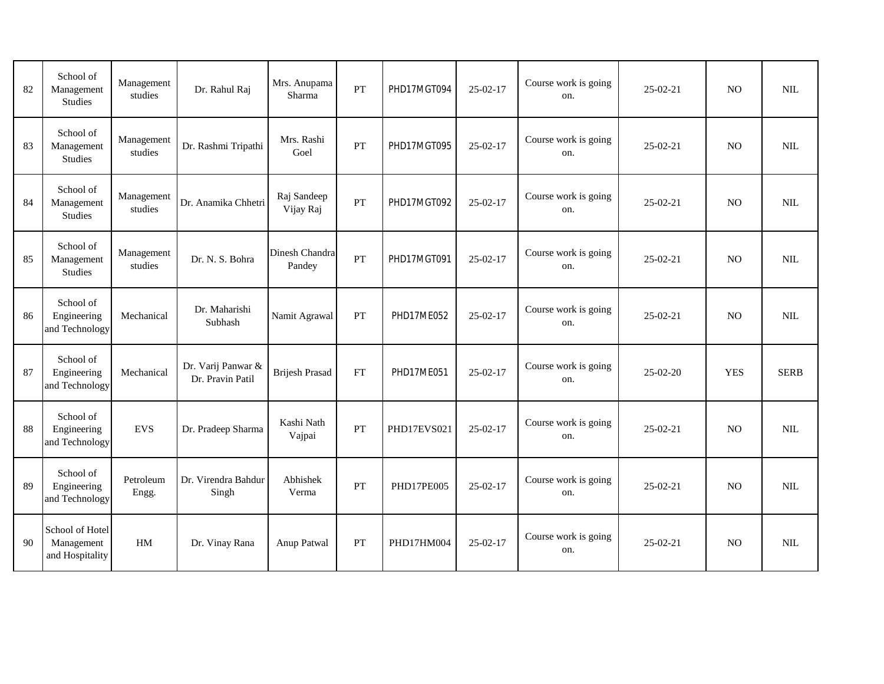| 82 | School of<br>Management<br><b>Studies</b>        | Management<br>studies | Dr. Rahul Raj                          | Mrs. Anupama<br>Sharma   | PT | PHD17MGT094 | $25-02-17$     | Course work is going<br>on. | $25 - 02 - 21$ | N <sub>O</sub> | <b>NIL</b>   |
|----|--------------------------------------------------|-----------------------|----------------------------------------|--------------------------|----|-------------|----------------|-----------------------------|----------------|----------------|--------------|
| 83 | School of<br>Management<br><b>Studies</b>        | Management<br>studies | Dr. Rashmi Tripathi                    | Mrs. Rashi<br>Goel       | PT | PHD17MGT095 | $25-02-17$     | Course work is going<br>on. | $25-02-21$     | N <sub>O</sub> | <b>NIL</b>   |
| 84 | School of<br>Management<br>Studies               | Management<br>studies | Dr. Anamika Chhetri                    | Raj Sandeep<br>Vijay Raj | PT | PHD17MGT092 | 25-02-17       | Course work is going<br>on. | 25-02-21       | NO             | $\text{NIL}$ |
| 85 | School of<br>Management<br>Studies               | Management<br>studies | Dr. N. S. Bohra                        | Dinesh Chandra<br>Pandey | PT | PHD17MGT091 | $25-02-17$     | Course work is going<br>on. | $25-02-21$     | <b>NO</b>      | NIL          |
| 86 | School of<br>Engineering<br>and Technology       | Mechanical            | Dr. Maharishi<br>Subhash               | Namit Agrawal            | PT | PHD17ME052  | $25 - 02 - 17$ | Course work is going<br>on. | $25-02-21$     | <b>NO</b>      | NIL          |
| 87 | School of<br>Engineering<br>and Technology       | Mechanical            | Dr. Varij Panwar &<br>Dr. Pravin Patil | <b>Brijesh Prasad</b>    | FT | PHD17ME051  | $25-02-17$     | Course work is going<br>on. | 25-02-20       | <b>YES</b>     | <b>SERB</b>  |
| 88 | School of<br>Engineering<br>and Technology       | <b>EVS</b>            | Dr. Pradeep Sharma                     | Kashi Nath<br>Vajpai     | PT | PHD17EVS021 | 25-02-17       | Course work is going<br>on. | 25-02-21       | N <sub>O</sub> | <b>NIL</b>   |
| 89 | School of<br>Engineering<br>and Technology       | Petroleum<br>Engg.    | Dr. Virendra Bahdur<br>Singh           | Abhishek<br>Verma        | PT | PHD17PE005  | $25-02-17$     | Course work is going<br>on. | $25-02-21$     | NO             | <b>NIL</b>   |
| 90 | School of Hotel<br>Management<br>and Hospitality | HM                    | Dr. Vinay Rana                         | Anup Patwal              | PT | PHD17HM004  | $25-02-17$     | Course work is going<br>on. | $25-02-21$     | N <sub>O</sub> | NIL          |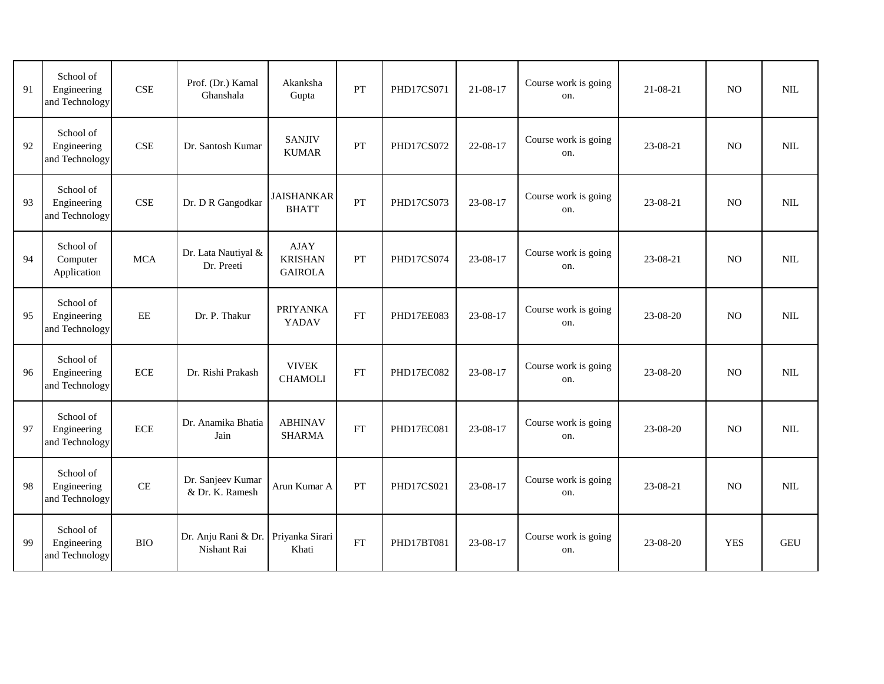| 91 | School of<br>Engineering<br>and Technology | <b>CSE</b> | Prof. (Dr.) Kamal<br>Ghanshala       | Akanksha<br>Gupta                               | PT | PHD17CS071        | $21 - 08 - 17$ | Course work is going<br>on. | 21-08-21   | <b>NO</b>      | NIL          |
|----|--------------------------------------------|------------|--------------------------------------|-------------------------------------------------|----|-------------------|----------------|-----------------------------|------------|----------------|--------------|
| 92 | School of<br>Engineering<br>and Technology | <b>CSE</b> | Dr. Santosh Kumar                    | <b>SANJIV</b><br><b>KUMAR</b>                   | PT | <b>PHD17CS072</b> | 22-08-17       | Course work is going<br>on. | 23-08-21   | N <sub>O</sub> | NIL          |
| 93 | School of<br>Engineering<br>and Technology | <b>CSE</b> | Dr. D R Gangodkar                    | <b>JAISHANKAR</b><br><b>BHATT</b>               | PT | PHD17CS073        | 23-08-17       | Course work is going<br>on. | 23-08-21   | N <sub>O</sub> | $\mbox{NIL}$ |
| 94 | School of<br>Computer<br>Application       | <b>MCA</b> | Dr. Lata Nautiyal &<br>Dr. Preeti    | <b>AJAY</b><br><b>KRISHAN</b><br><b>GAIROLA</b> | PT | PHD17CS074        | 23-08-17       | Course work is going<br>on. | 23-08-21   | NO             | $\text{NIL}$ |
| 95 | School of<br>Engineering<br>and Technology | $\rm{EE}$  | Dr. P. Thakur                        | <b>PRIYANKA</b><br>YADAV                        | FT | PHD17EE083        | 23-08-17       | Course work is going<br>on. | 23-08-20   | <b>NO</b>      | NIL          |
| 96 | School of<br>Engineering<br>and Technology | <b>ECE</b> | Dr. Rishi Prakash                    | <b>VIVEK</b><br><b>CHAMOLI</b>                  | FT | PHD17EC082        | 23-08-17       | Course work is going<br>on. | 23-08-20   | <b>NO</b>      | NIL          |
| 97 | School of<br>Engineering<br>and Technology | $\rm ECE$  | Dr. Anamika Bhatia<br>Jain           | <b>ABHINAV</b><br><b>SHARMA</b>                 | FT | PHD17EC081        | 23-08-17       | Course work is going<br>on. | 23-08-20   | N <sub>O</sub> | NIL          |
| 98 | School of<br>Engineering<br>and Technology | $\rm CE$   | Dr. Sanjeev Kumar<br>& Dr. K. Ramesh | Arun Kumar A                                    | PT | PHD17CS021        | 23-08-17       | Course work is going<br>on. | 23-08-21   | N <sub>O</sub> | NIL          |
| 99 | School of<br>Engineering<br>and Technology | <b>BIO</b> | Dr. Anju Rani & Dr.<br>Nishant Rai   | Priyanka Sirari<br>Khati                        | FT | PHD17BT081        | 23-08-17       | Course work is going<br>on. | $23-08-20$ | <b>YES</b>     | <b>GEU</b>   |